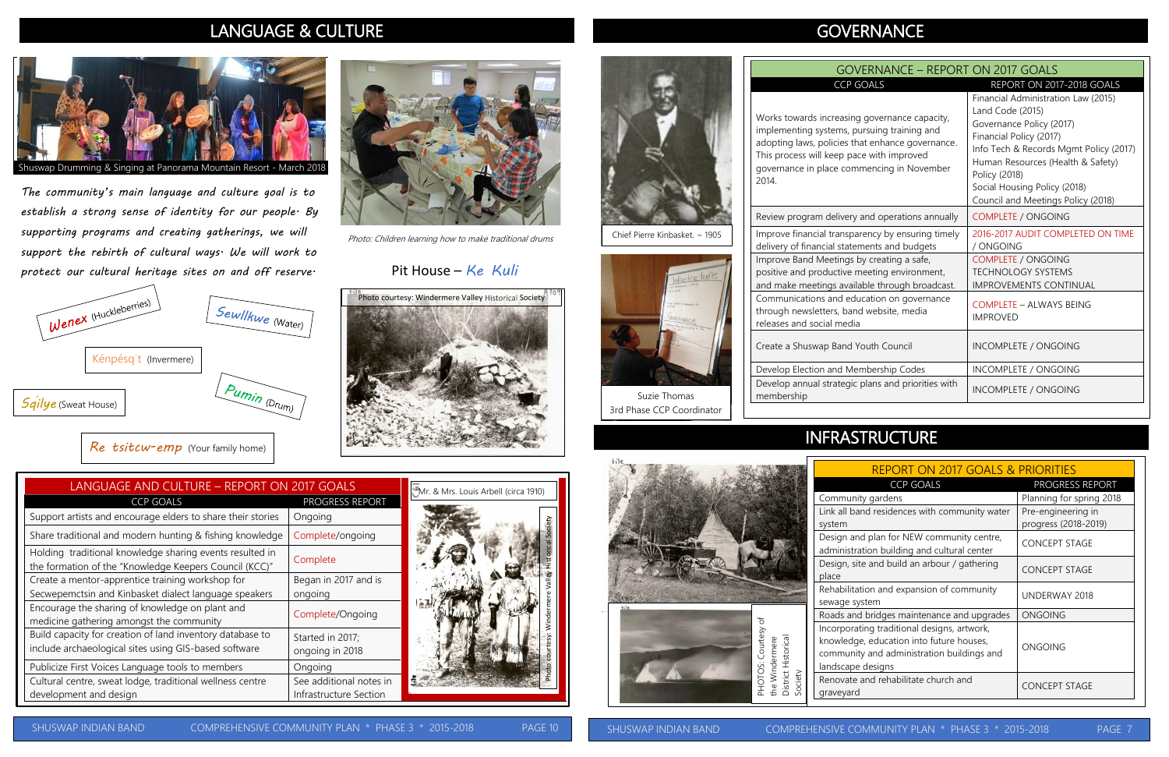

Photo: Children learning how to make traditional drums

#### Pit House – *Ke Kuli*

### LANGUAGE & CULTURE

PAGE

## **GOVERNANCE**

| LANGUAGE AND CULTURE - REPORT ON 2017 GOALS                                                                        |                                                   | Mr. & Mrs. Louis Arbell (circa 1910) |
|--------------------------------------------------------------------------------------------------------------------|---------------------------------------------------|--------------------------------------|
| <b>CCP GOALS</b>                                                                                                   | PROGRESS REPORT                                   |                                      |
| Support artists and encourage elders to share their stories                                                        | Ongoing                                           |                                      |
| Share traditional and modern hunting & fishing knowledge                                                           | Complete/ongoing                                  |                                      |
| Holding traditional knowledge sharing events resulted in<br>the formation of the "Knowledge Keepers Council (KCC)" | Complete                                          |                                      |
| Create a mentor-apprentice training workshop for<br>Secwepemctsin and Kinbasket dialect language speakers          | Began in 2017 and is<br>ongoing                   |                                      |
| Encourage the sharing of knowledge on plant and<br>medicine gathering amongst the community                        | Complete/Ongoing                                  |                                      |
| Build capacity for creation of land inventory database to<br>include archaeological sites using GIS-based software | Started in 2017;<br>ongoing in 2018               |                                      |
| Publicize First Voices Language tools to members                                                                   | Ongoing                                           |                                      |
| Cultural centre, sweat lodge, traditional wellness centre<br>development and design                                | See additional notes in<br>Infrastructure Section |                                      |



Photo courtesy: Windermere Valley Historical Society

*The community's main language and culture goal is to establish a strong sense of identity for our people. By supporting programs and creating gatherings, we will support the rebirth of cultural ways. We will work to protect our cultural heritage sites on and off reserve.*

> Develop Election and Mer Develop annual strategic membership









# INFRASTRUCTURE

Chief Pierre Kinbasket. ~ 1905



| <b>GOVERNANCE - REPORT ON 2017 GOALS</b>                                                                                                                                                                                                                                 |                                                                                                                                                                                                                                                                                                                   |  |
|--------------------------------------------------------------------------------------------------------------------------------------------------------------------------------------------------------------------------------------------------------------------------|-------------------------------------------------------------------------------------------------------------------------------------------------------------------------------------------------------------------------------------------------------------------------------------------------------------------|--|
| <b>CCP GOALS</b><br>Works towards increasing governance capacity,<br>implementing systems, pursuing training and<br>adopting laws, policies that enhance governance.<br>This process will keep pace with improved<br>governance in place commencing in November<br>2014. | REPORT ON 2017-2018 GOALS<br>Financial Administration Law (2015)<br>Land Code (2015)<br>Governance Policy (2017)<br>Financial Policy (2017)<br>Info Tech & Records Mgmt Policy (2017)<br>Human Resources (Health & Safety)<br>Policy (2018)<br>Social Housing Policy (2018)<br>Council and Meetings Policy (2018) |  |
| Review program delivery and operations annually                                                                                                                                                                                                                          | <b>COMPLETE / ONGOING</b>                                                                                                                                                                                                                                                                                         |  |
| Improve financial transparency by ensuring timely<br>delivery of financial statements and budgets                                                                                                                                                                        | 2016-2017 AUDIT COMPLETED ON TIME<br>/ ONGOING                                                                                                                                                                                                                                                                    |  |
| Improve Band Meetings by creating a safe,<br>positive and productive meeting environment,<br>and make meetings available through broadcast.                                                                                                                              | <b>COMPLETE / ONGOING</b><br><b>TECHNOLOGY SYSTEMS</b><br><b>IMPROVEMENTS CONTINUAL</b>                                                                                                                                                                                                                           |  |
| Communications and education on governance<br>through newsletters, band website, media<br>releases and social media                                                                                                                                                      | <b>COMPLETE - ALWAYS BEING</b><br><b>IMPROVED</b>                                                                                                                                                                                                                                                                 |  |
| Create a Shuswap Band Youth Council                                                                                                                                                                                                                                      | <b>INCOMPLETE / ONGOING</b>                                                                                                                                                                                                                                                                                       |  |
| Develop Election and Membership Codes                                                                                                                                                                                                                                    | <b>INCOMPLETE / ONGOING</b>                                                                                                                                                                                                                                                                                       |  |
| Develop annual strategic plans and priorities with<br>membership                                                                                                                                                                                                         | INCOMPLETE / ONGOING                                                                                                                                                                                                                                                                                              |  |

| <b>REPORT ON 2017 GOALS &amp; PRIORITIES</b>                                                                             |                                            |  |
|--------------------------------------------------------------------------------------------------------------------------|--------------------------------------------|--|
| <b>CCP GOALS</b>                                                                                                         | PROGRESS REPORT                            |  |
| ty gardens                                                                                                               | Planning for spring 2018                   |  |
| nd residences with community water                                                                                       | Pre-engineering in<br>progress (2018-2019) |  |
| d plan for NEW community centre,<br>ation building and cultural center                                                   | <b>CONCEPT STAGE</b>                       |  |
| te and build an arbour / gathering                                                                                       | <b>CONCEPT STAGE</b>                       |  |
| tion and expansion of community<br>stem                                                                                  | UNDERWAY 2018                              |  |
| d bridges maintenance and upgrades                                                                                       | <b>ONGOING</b>                             |  |
| ting traditional designs, artwork,<br>e, education into future houses,<br>ty and administration buildings and<br>designs | <b>ONGOING</b>                             |  |
| and rehabilitate church and                                                                                              | <b>CONCEPT STAGE</b>                       |  |

#### SHUSWAP INDIAN BAND COMPREHENSIVE COMMUNITY PLAN \* PHASE 3 \* 2015-2018 PAGE 7



SHUSWAP INDIAN BAND COMPREHENSIVE COMMUNITY PLAN \* PHASE 3 \* 2015-2018 PAGE 10

Suzie Thomas 3rd Phase CCP Coordinator